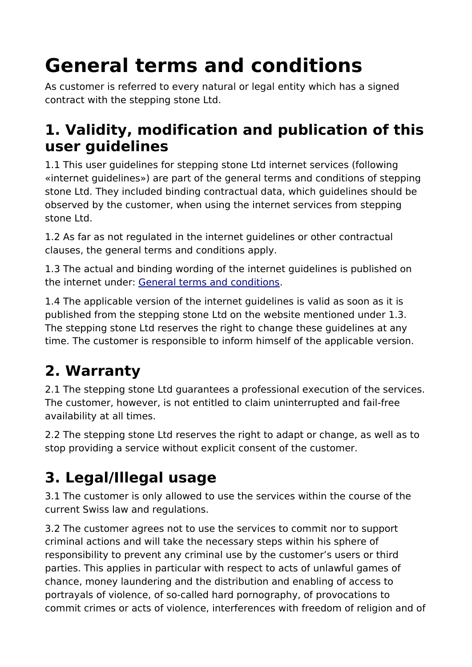# **General terms and conditions**

As customer is referred to every natural or legal entity which has a signed contract with the stepping stone Ltd.

#### **1. Validity, modification and publication of this user guidelines**

1.1 This user guidelines for stepping stone Ltd internet services (following «internet guidelines») are part of the general terms and conditions of stepping stone Ltd. They included binding contractual data, which guidelines should be observed by the customer, when using the internet services from stepping stone Ltd.

1.2 As far as not regulated in the internet guidelines or other contractual clauses, the general terms and conditions apply.

1.3 The actual and binding wording of the internet guidelines is published on the internet under: [General terms and conditions.](https://www.stepping-stone.ch/en/terms-and-conditions/)

1.4 The applicable version of the internet guidelines is valid as soon as it is published from the stepping stone Ltd on the website mentioned under 1.3. The stepping stone Ltd reserves the right to change these guidelines at any time. The customer is responsible to inform himself of the applicable version.

# **2. Warranty**

2.1 The stepping stone Ltd guarantees a professional execution of the services. The customer, however, is not entitled to claim uninterrupted and fail-free availability at all times.

2.2 The stepping stone Ltd reserves the right to adapt or change, as well as to stop providing a service without explicit consent of the customer.

## **3. Legal/Illegal usage**

3.1 The customer is only allowed to use the services within the course of the current Swiss law and regulations.

3.2 The customer agrees not to use the services to commit nor to support criminal actions and will take the necessary steps within his sphere of responsibility to prevent any criminal use by the customer's users or third parties. This applies in particular with respect to acts of unlawful games of chance, money laundering and the distribution and enabling of access to portrayals of violence, of so-called hard pornography, of provocations to commit crimes or acts of violence, interferences with freedom of religion and of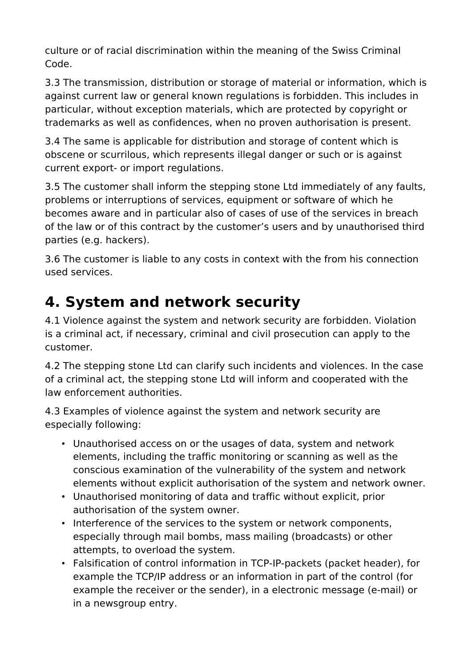culture or of racial discrimination within the meaning of the Swiss Criminal Code.

3.3 The transmission, distribution or storage of material or information, which is against current law or general known regulations is forbidden. This includes in particular, without exception materials, which are protected by copyright or trademarks as well as confidences, when no proven authorisation is present.

3.4 The same is applicable for distribution and storage of content which is obscene or scurrilous, which represents illegal danger or such or is against current export- or import regulations.

3.5 The customer shall inform the stepping stone Ltd immediately of any faults, problems or interruptions of services, equipment or software of which he becomes aware and in particular also of cases of use of the services in breach of the law or of this contract by the customer's users and by unauthorised third parties (e.g. hackers).

3.6 The customer is liable to any costs in context with the from his connection used services.

## **4. System and network security**

4.1 Violence against the system and network security are forbidden. Violation is a criminal act, if necessary, criminal and civil prosecution can apply to the customer.

4.2 The stepping stone Ltd can clarify such incidents and violences. In the case of a criminal act, the stepping stone Ltd will inform and cooperated with the law enforcement authorities.

4.3 Examples of violence against the system and network security are especially following:

- Unauthorised access on or the usages of data, system and network elements, including the traffic monitoring or scanning as well as the conscious examination of the vulnerability of the system and network elements without explicit authorisation of the system and network owner.
- Unauthorised monitoring of data and traffic without explicit, prior authorisation of the system owner.
- Interference of the services to the system or network components, especially through mail bombs, mass mailing (broadcasts) or other attempts, to overload the system.
- Falsification of control information in TCP-IP-packets (packet header), for example the TCP/IP address or an information in part of the control (for example the receiver or the sender), in a electronic message (e-mail) or in a newsgroup entry.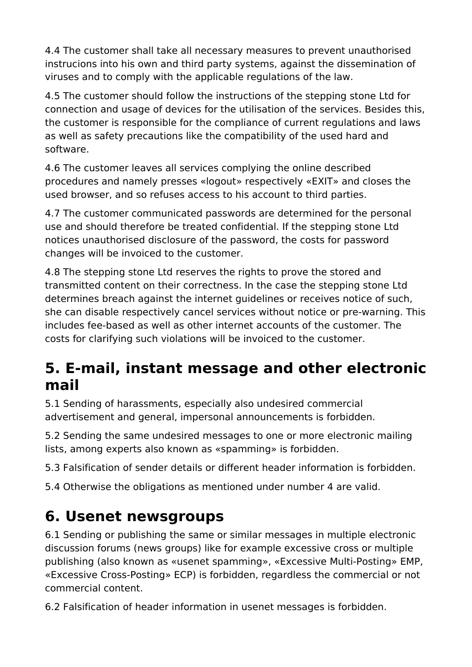4.4 The customer shall take all necessary measures to prevent unauthorised instrucions into his own and third party systems, against the dissemination of viruses and to comply with the applicable regulations of the law.

4.5 The customer should follow the instructions of the stepping stone Ltd for connection and usage of devices for the utilisation of the services. Besides this, the customer is responsible for the compliance of current regulations and laws as well as safety precautions like the compatibility of the used hard and software.

4.6 The customer leaves all services complying the online described procedures and namely presses «logout» respectively «EXIT» and closes the used browser, and so refuses access to his account to third parties.

4.7 The customer communicated passwords are determined for the personal use and should therefore be treated confidential. If the stepping stone Ltd notices unauthorised disclosure of the password, the costs for password changes will be invoiced to the customer.

4.8 The stepping stone Ltd reserves the rights to prove the stored and transmitted content on their correctness. In the case the stepping stone Ltd determines breach against the internet guidelines or receives notice of such, she can disable respectively cancel services without notice or pre-warning. This includes fee-based as well as other internet accounts of the customer. The costs for clarifying such violations will be invoiced to the customer.

#### **5. E-mail, instant message and other electronic mail**

5.1 Sending of harassments, especially also undesired commercial advertisement and general, impersonal announcements is forbidden.

5.2 Sending the same undesired messages to one or more electronic mailing lists, among experts also known as «spamming» is forbidden.

5.3 Falsification of sender details or different header information is forbidden.

5.4 Otherwise the obligations as mentioned under number 4 are valid.

#### **6. Usenet newsgroups**

6.1 Sending or publishing the same or similar messages in multiple electronic discussion forums (news groups) like for example excessive cross or multiple publishing (also known as «usenet spamming», «Excessive Multi-Posting» EMP, «Excessive Cross-Posting» ECP) is forbidden, regardless the commercial or not commercial content.

6.2 Falsification of header information in usenet messages is forbidden.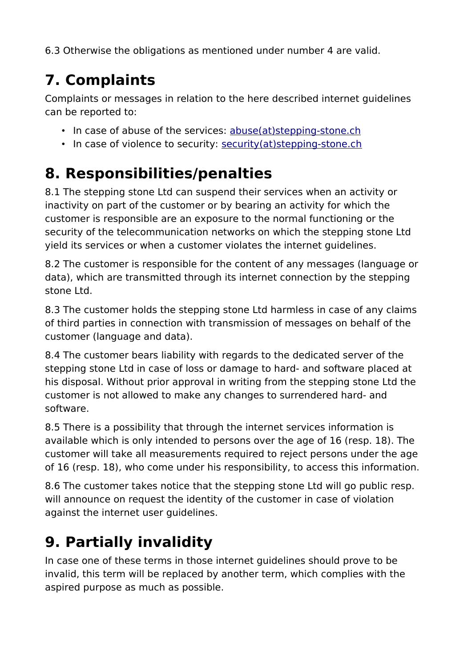6.3 Otherwise the obligations as mentioned under number 4 are valid.

# **7. Complaints**

Complaints or messages in relation to the here described internet guidelines can be reported to:

- In case of abuse of the services: [abuse\(at\)stepping-stone.ch](mailto:abuse@stepping-stone.ch)
- In case of violence to security: [security\(at\)stepping-stone.ch](mailto:security@stepping-stone.ch)

#### **8. Responsibilities/penalties**

8.1 The stepping stone Ltd can suspend their services when an activity or inactivity on part of the customer or by bearing an activity for which the customer is responsible are an exposure to the normal functioning or the security of the telecommunication networks on which the stepping stone Ltd yield its services or when a customer violates the internet guidelines.

8.2 The customer is responsible for the content of any messages (language or data), which are transmitted through its internet connection by the stepping stone Ltd.

8.3 The customer holds the stepping stone Ltd harmless in case of any claims of third parties in connection with transmission of messages on behalf of the customer (language and data).

8.4 The customer bears liability with regards to the dedicated server of the stepping stone Ltd in case of loss or damage to hard- and software placed at his disposal. Without prior approval in writing from the stepping stone Ltd the customer is not allowed to make any changes to surrendered hard- and software.

8.5 There is a possibility that through the internet services information is available which is only intended to persons over the age of 16 (resp. 18). The customer will take all measurements required to reject persons under the age of 16 (resp. 18), who come under his responsibility, to access this information.

8.6 The customer takes notice that the stepping stone Ltd will go public resp. will announce on request the identity of the customer in case of violation against the internet user guidelines.

# **9. Partially invalidity**

In case one of these terms in those internet guidelines should prove to be invalid, this term will be replaced by another term, which complies with the aspired purpose as much as possible.